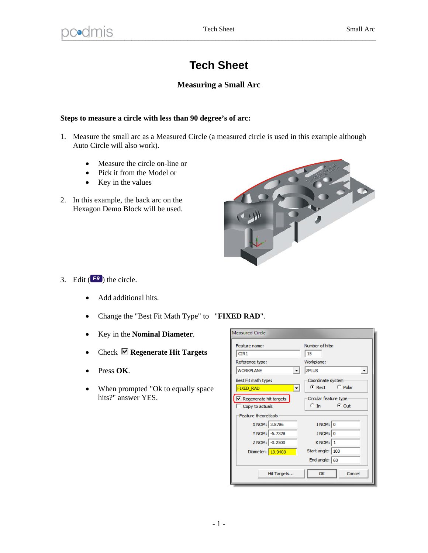## **Tech Sheet**

## **Measuring a Small Arc**

## **Steps to measure a circle with less than 90 degree's of arc:**

- 1. Measure the small arc as a Measured Circle (a measured circle is used in this example although Auto Circle will also work).
	- Measure the circle on-line or
	- Pick it from the Model or
	- $\bullet$  Key in the values
- 2. In this example, the back arc on the Hexagon Demo Block will be used.



- 3. Edit  $(F<sup>9</sup>)$  the circle.
	- Add additional hits.
	- Change the "Best Fit Math Type" to "**FIXED RAD**".
	- Key in the **Nominal Diameter**.
	- Check **Regenerate Hit Targets**
	- Press **OK**.
	- When prompted "Ok to equally space" hits?" answer YES.

| <b>Measured Circle</b>                       |                                      |
|----------------------------------------------|--------------------------------------|
| Feature name:                                | Number of hits:                      |
| CIR1                                         | 15                                   |
| Reference type:                              | Workplane:                           |
| <b>WORKPLANE</b><br>$\overline{\phantom{a}}$ | <b>ZPLUS</b><br>$\blacktriangledown$ |
| Best Fit math type:                          | Coordinate system                    |
| <b>FIXED RAD</b><br>$\overline{\phantom{a}}$ | C Rect C Polar                       |
| $\nabla$ Regenerate hit targets              | Circular feature type                |
| Copy to actuals                              | $C$ Out<br>$C$ In                    |
| <b>Feature theoreticals</b>                  |                                      |
| X NOM: 3.8786                                | I NOM: 0                             |
| Y NOM: -5.7328                               | J NOM: 0                             |
| Z NOM: -0.2500                               | KNOM: 1                              |
| Diameter: 19,9409                            | Start angle:   100                   |
|                                              | End angle: $ 60$                     |
| Hit Targets                                  | Cancel<br>OK                         |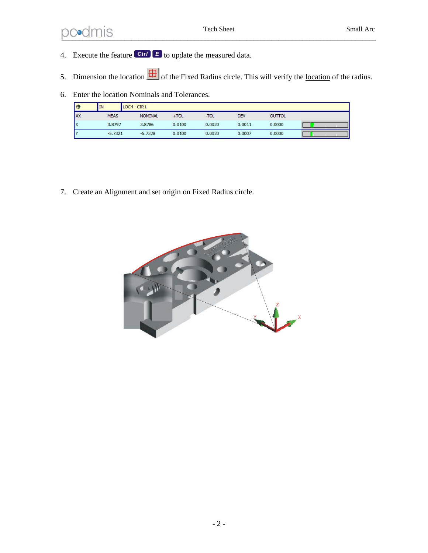## ned mission of the Sheet Small Arc Small Arc Small Arc Small Arc Small Arc Small Arc Small Arc Small Arc Small Arc Small Arc Small Arc Small Arc Small Arc Small Arc Small Arc Small Arc Small Arc Small Arc Small Arc Small A  $_{\sim}$

- 4. Execute the feature *Ctrl E* to update the measured data.
- 5. Dimension the location  $\boxed{\frac{1}{10}}$  of the Fixed Radius circle. This will verify the <u>location</u> of the radius.
- 6. Enter the location Nominals and Tolerances.

| 曲         | IN          | $LOC4 - CIR1$  |        |        |            |               |  |
|-----------|-------------|----------------|--------|--------|------------|---------------|--|
| <b>AX</b> | <b>MEAS</b> | <b>NOMINAL</b> | $+TOL$ | -TOL   | <b>DEV</b> | <b>OUTTOL</b> |  |
| Ιx        | 3.8797      | 3.8786         | 0.0100 | 0.0020 | 0.0011     | 0.0000        |  |
| I۷        | $-5.7321$   | $-5.7328$      | 0.0100 | 0.0020 | 0.0007     | 0.0000        |  |

7. Create an Alignment and set origin on Fixed Radius circle.

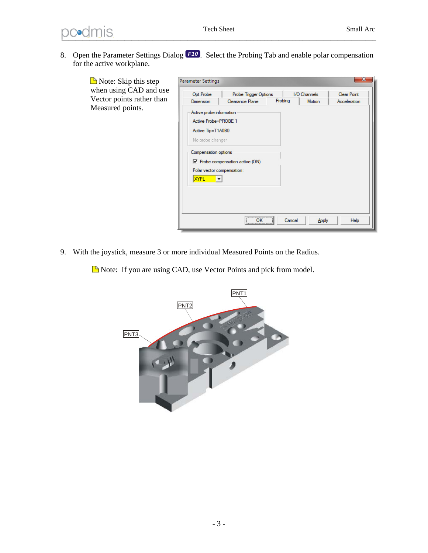8. Open the Parameter Settings Dialog *F10* . Select the Probing Tab and enable polar compensation for the active workplane.

 $\blacksquare$  Note: Skip this step when using CAD and Vector points rather Measured points.

| Opt.Probe                  | Probe Trigger Options                   |         | I/O Channels |              |
|----------------------------|-----------------------------------------|---------|--------------|--------------|
| Dimension                  | Clearance Plane                         | Probing | Motion       | Acceleration |
| Active probe information   |                                         |         |              |              |
| Active Probe=PROBE 1       |                                         |         |              |              |
| Active Tip=T1A0B0          |                                         |         |              |              |
| No probe changer           |                                         |         |              |              |
|                            |                                         |         |              |              |
| Compensation options       |                                         |         |              |              |
|                            | $\nabla$ Probe compensation active (ON) |         |              |              |
| Polar vector compensation: |                                         |         |              |              |
| <b>XYPL</b>                |                                         |         |              |              |
|                            |                                         |         |              |              |
|                            |                                         |         |              |              |
|                            |                                         |         |              |              |
|                            |                                         |         |              |              |
|                            |                                         |         |              |              |

9. With the joystick, measure 3 or more individual Measured Points on the Radius.

Note: If you are using CAD, use Vector Points and pick from model.